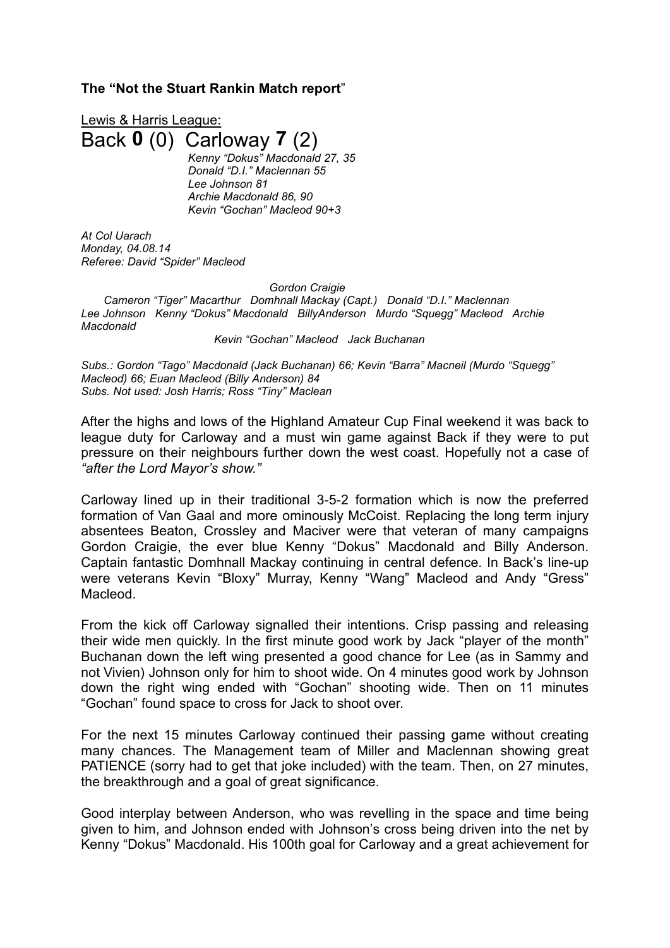## **The "Not the Stuart Rankin Match report**"

Lewis & Harris League: Back **0** (0) Carloway **7** (2) *Kenny "Dokus" Macdonald 27, 35 Donald "D.I." Maclennan 55 Lee Johnson 81 Archie Macdonald 86, 90 Kevin "Gochan" Macleod 90+3*

*At Col Uarach Monday, 04.08.14 Referee: David "Spider" Macleod*

*Gordon Craigie*

*Cameron "Tiger" Macarthur Domhnall Mackay (Capt.) Donald "D.I." Maclennan Lee Johnson Kenny "Dokus" Macdonald BillyAnderson Murdo "Squegg" Macleod Archie Macdonald*

*Kevin "Gochan" Macleod Jack Buchanan*

*Subs.: Gordon "Tago" Macdonald (Jack Buchanan) 66; Kevin "Barra" Macneil (Murdo "Squegg" Macleod) 66; Euan Macleod (Billy Anderson) 84 Subs. Not used: Josh Harris; Ross "Tiny" Maclean*

After the highs and lows of the Highland Amateur Cup Final weekend it was back to league duty for Carloway and a must win game against Back if they were to put pressure on their neighbours further down the west coast. Hopefully not a case of *"after the Lord Mayor's show."*

Carloway lined up in their traditional 3-5-2 formation which is now the preferred formation of Van Gaal and more ominously McCoist. Replacing the long term injury absentees Beaton, Crossley and Maciver were that veteran of many campaigns Gordon Craigie, the ever blue Kenny "Dokus" Macdonald and Billy Anderson. Captain fantastic Domhnall Mackay continuing in central defence. In Back's line-up were veterans Kevin "Bloxy" Murray, Kenny "Wang" Macleod and Andy "Gress" Macleod.

From the kick off Carloway signalled their intentions. Crisp passing and releasing their wide men quickly. In the first minute good work by Jack "player of the month" Buchanan down the left wing presented a good chance for Lee (as in Sammy and not Vivien) Johnson only for him to shoot wide. On 4 minutes good work by Johnson down the right wing ended with "Gochan" shooting wide. Then on 11 minutes "Gochan" found space to cross for Jack to shoot over.

For the next 15 minutes Carloway continued their passing game without creating many chances. The Management team of Miller and Maclennan showing great PATIENCE (sorry had to get that joke included) with the team. Then, on 27 minutes, the breakthrough and a goal of great significance.

Good interplay between Anderson, who was revelling in the space and time being given to him, and Johnson ended with Johnson's cross being driven into the net by Kenny "Dokus" Macdonald. His 100th goal for Carloway and a great achievement for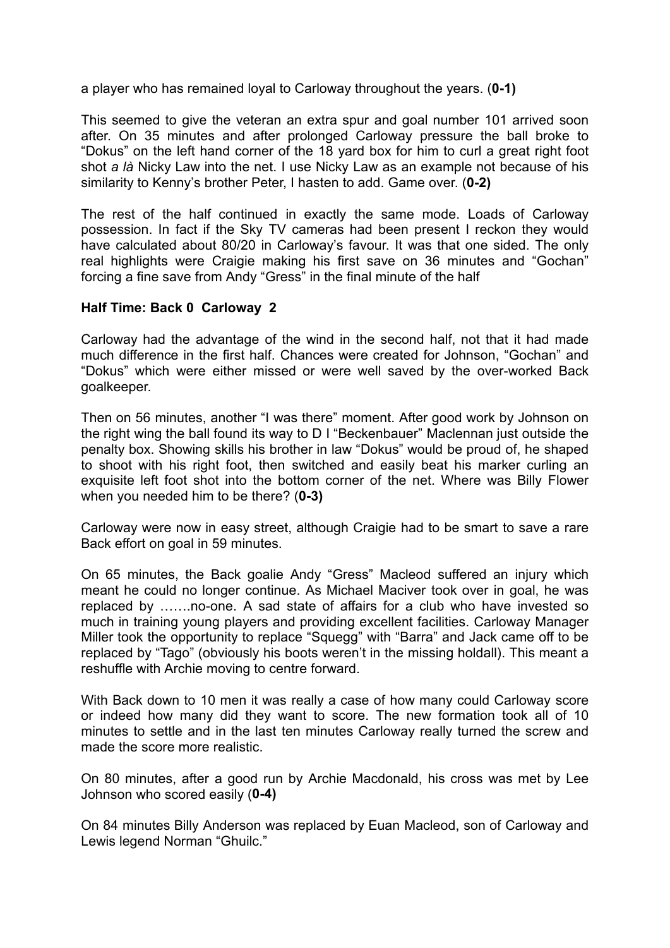a player who has remained loyal to Carloway throughout the years. (**0-1)**

This seemed to give the veteran an extra spur and goal number 101 arrived soon after. On 35 minutes and after prolonged Carloway pressure the ball broke to "Dokus" on the left hand corner of the 18 yard box for him to curl a great right foot shot *a là* Nicky Law into the net. I use Nicky Law as an example not because of his similarity to Kenny's brother Peter, I hasten to add. Game over. (**0-2)**

The rest of the half continued in exactly the same mode. Loads of Carloway possession. In fact if the Sky TV cameras had been present I reckon they would have calculated about 80/20 in Carloway's favour. It was that one sided. The only real highlights were Craigie making his first save on 36 minutes and "Gochan" forcing a fine save from Andy "Gress" in the final minute of the half

## **Half Time: Back 0 Carloway 2**

Carloway had the advantage of the wind in the second half, not that it had made much difference in the first half. Chances were created for Johnson, "Gochan" and "Dokus" which were either missed or were well saved by the over-worked Back goalkeeper.

Then on 56 minutes, another "I was there" moment. After good work by Johnson on the right wing the ball found its way to D I "Beckenbauer" Maclennan just outside the penalty box. Showing skills his brother in law "Dokus" would be proud of, he shaped to shoot with his right foot, then switched and easily beat his marker curling an exquisite left foot shot into the bottom corner of the net. Where was Billy Flower when you needed him to be there? (**0-3)**

Carloway were now in easy street, although Craigie had to be smart to save a rare Back effort on goal in 59 minutes.

On 65 minutes, the Back goalie Andy "Gress" Macleod suffered an injury which meant he could no longer continue. As Michael Maciver took over in goal, he was replaced by …….no-one. A sad state of affairs for a club who have invested so much in training young players and providing excellent facilities. Carloway Manager Miller took the opportunity to replace "Squegg" with "Barra" and Jack came off to be replaced by "Tago" (obviously his boots weren't in the missing holdall). This meant a reshuffle with Archie moving to centre forward.

With Back down to 10 men it was really a case of how many could Carloway score or indeed how many did they want to score. The new formation took all of 10 minutes to settle and in the last ten minutes Carloway really turned the screw and made the score more realistic.

On 80 minutes, after a good run by Archie Macdonald, his cross was met by Lee Johnson who scored easily (**0-4)**

On 84 minutes Billy Anderson was replaced by Euan Macleod, son of Carloway and Lewis legend Norman "Ghuilc."